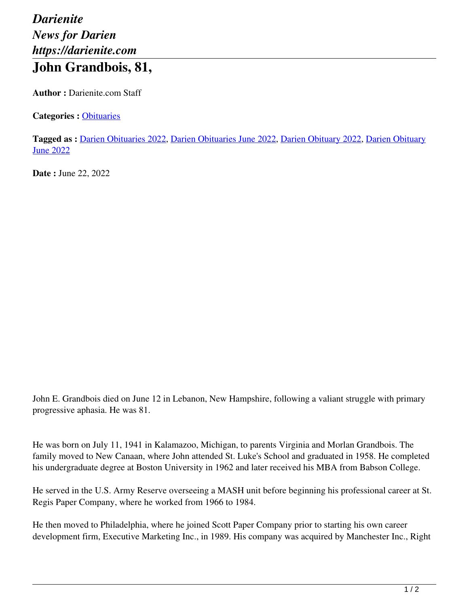## *Darienite News for Darien https://darienite.com* **John Grandbois, 81,**

**Author :** Darienite.com Staff

**Categories :** [Obituaries](https://darienite.com/category/obituaries)

**Tagged as :** Darien Obituaries 2022, Darien Obituaries June 2022, Darien Obituary 2022, Darien Obituary **June 2022** 

**Date :** June 22, 2022

John E. Grandbois died on June 12 in Lebanon, New Hampshire, following a valiant struggle with primary progressive aphasia. He was 81.

He was born on July 11, 1941 in Kalamazoo, Michigan, to parents Virginia and Morlan Grandbois. The family moved to New Canaan, where John attended St. Luke's School and graduated in 1958. He completed his undergraduate degree at Boston University in 1962 and later received his MBA from Babson College.

He served in the U.S. Army Reserve overseeing a MASH unit before beginning his professional career at St. Regis Paper Company, where he worked from 1966 to 1984.

He then moved to Philadelphia, where he joined Scott Paper Company prior to starting his own career development firm, Executive Marketing Inc., in 1989. His company was acquired by Manchester Inc., Right